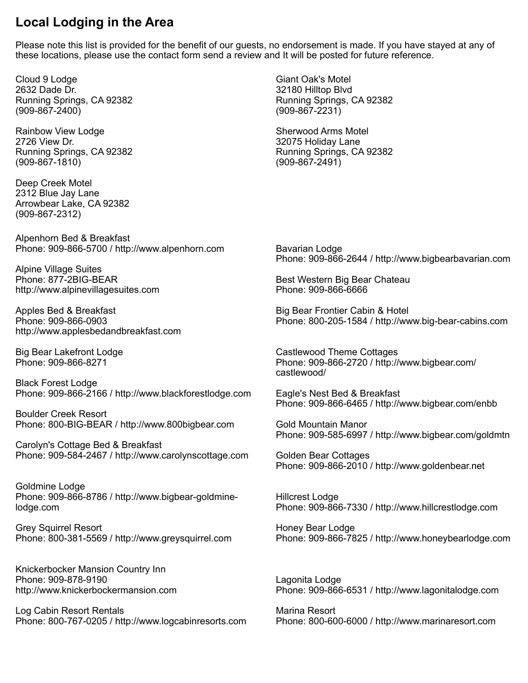## **Local Lodging in the Area**

Please note this list is provided for the benefit of our guests, no endorsement is made. If you have stayed at any of these locations, please use the contact form send a review and It will be posted for future reference.

Cloud 9 Lodge 2632 Dade Dr. Running Springs, CA 92382 (909-867-2400)

Rainbow View Lodge 2726 View Dr. Running Springs, CA 92382 (909-867-1810)

Deep Creek Motel 2312 Blue Jay Lane Arrowbear Lake, CA 92382 (909-867-2312)

Alpenhorn Bed & Breakfast Phone: 909-866-5700 / [http://www.alpenhorn.com](http://www.alpenhorn.com/)

Alpine Village Suites Phone: 877-2BIG-BEAR [http://www.alpinevillagesuites.com](http://www.alpinevillagesuites.com/) 

Apples Bed & Breakfast Phone: 909-866-0903 [http://www.applesbedandbreakfast.com](http://www.applesbedandbreakfast.com/)

Big Bear Lakefront Lodge Phone: 909-866-8271

Black Forest Lodge Phone: 909-866-2166 / [http://www.blackforestlodge.com](http://www.blackforestlodge.com/)

Boulder Creek Resort Phone: 800-BIG-BEAR / [http://www.800bigbear.com](http://www.800bigbear.com/) 

Carolyn's Cottage Bed & Breakfast Phone: 909-584-2467 / [http://www.carolynscottage.com](http://www.carolynscottage.com/)

Goldmine Lodge Phone: 909-866-8786 / [http://www.bigbear-goldmine](http://www.bigbear-goldmine-lodge.com/)[lodge.com](http://www.bigbear-goldmine-lodge.com/) 

Grey Squirrel Resort Phone: 800-381-5569 / [http://www.greysquirrel.com](http://www.greysquirrel.com/) 

Knickerbocker Mansion Country Inn Phone: 909-878-9190 [http://www.knickerbockermansion.com](http://www.knickerbockermansion.com/)

Log Cabin Resort Rentals Phone: 800-767-0205 / [http://www.logcabinresorts.com](http://www.logcabinresorts.com/) 

Giant Oak's Motel 32180 Hilltop Blvd Running Springs, CA 92382 (909-867-2231)

Sherwood Arms Motel 32075 Holiday Lane Running Springs, CA 92382 (909-867-2491)

Bavarian Lodge Phone: 909-866-2644 / [http://www.bigbearbavarian.com](http://www.bigbearbavarian.com/) 

Best Western Big Bear Chateau Phone: 909-866-6666

Big Bear Frontier Cabin & Hotel Phone: 800-205-1584 / [http://www.big-bear-cabins.com](http://www.big-bear-cabins.com/)

Castlewood Theme Cottages Phone: 909-866-2720 / [http://www.bigbear.com/](http://www.bigbear.com/castlewood/) [castlewood/](http://www.bigbear.com/castlewood/)

Eagle's Nest Bed & Breakfast Phone: 909-866-6465 / <http://www.bigbear.com/enbb>

Gold Mountain Manor Phone: 909-585-6997 / <http://www.bigbear.com/goldmtn>

Golden Bear Cottages Phone: 909-866-2010 / [http://www.goldenbear.net](http://www.goldenbear.net/)

Hillcrest Lodge Phone: 909-866-7330 / [http://www.hillcrestlodge.com](http://www.hillcrestlodge.com/) 

Honey Bear Lodge Phone: 909-866-7825 / [http://www.honeybearlodge.com](http://www.honeybearlodge.com/)

Lagonita Lodge Phone: 909-866-6531 / [http://www.lagonitalodge.com](http://www.lagonitalodge.com/)

Marina Resort Phone: 800-600-6000 / [http://www.marinaresort.com](http://www.marinaresort.com/)